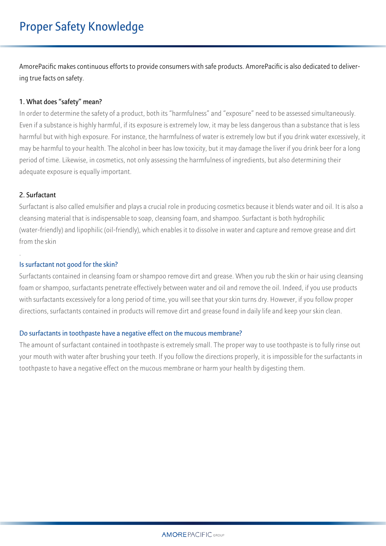AmorePacific makes continuous efforts to provide consumers with safe products. AmorePacific is also dedicated to delivering true facts on safety.

## **1. What does "safety" mean?**

In order to determine the safety of a product, both its "harmfulness" and "exposure" need to be assessed simultaneously. Even if a substance is highly harmful, if its exposure is extremely low, it may be less dangerous than a substance that is less harmful but with high exposure. For instance, the harmfulness of water is extremely low but if you drink water excessively, it may be harmful to your health. The alcohol in beer has low toxicity, but it may damage the liver if you drink beer for a long period of time. Likewise, in cosmetics, not only assessing the harmfulness of ingredients, but also determining their adequate exposure is equally important.

## **2. Surfactant**

.

Surfactant is also called emulsifier and plays a crucial role in producing cosmetics because it blends water and oil. It is also a cleansing material that is indispensable to soap, cleansing foam, and shampoo. Surfactant is both hydrophilic (water-friendly) and lipophilic (oil-friendly), which enables it to dissolve in water and capture and remove grease and dirt from the skin

## **Is surfactant not good for the skin?**

Surfactants contained in cleansing foam or shampoo remove dirt and grease. When you rub the skin or hair using cleansing foam or shampoo, surfactants penetrate effectively between water and oil and remove the oil. Indeed, if you use products with surfactants excessively for a long period of time, you will see that your skin turns dry. However, if you follow proper directions, surfactants contained in products will remove dirt and grease found in daily life and keep your skin clean.

#### **Do surfactants in toothpaste have a negative effect on the mucous membrane?**

The amount of surfactant contained in toothpaste is extremely small. The proper way to use toothpaste is to fully rinse out your mouth with water after brushing your teeth. If you follow the directions properly, it is impossible for the surfactants in toothpaste to have a negative effect on the mucous membrane or harm your health by digesting them.